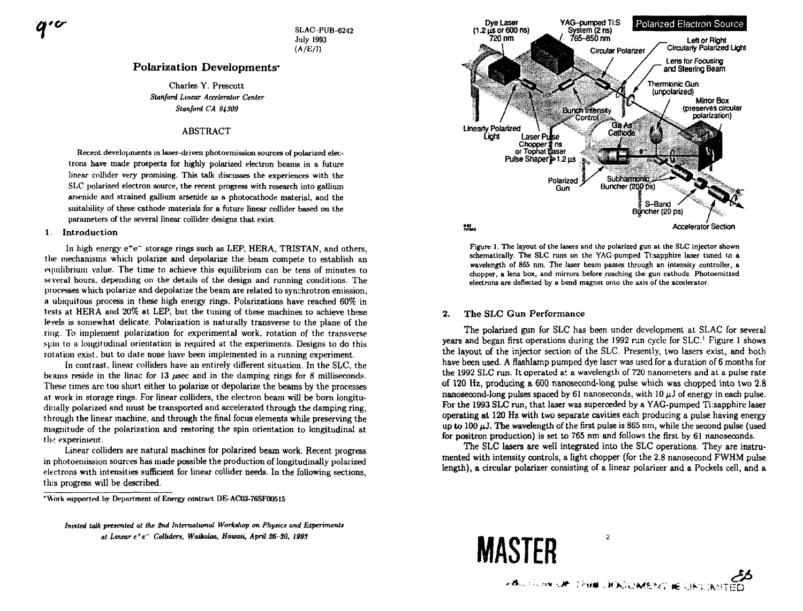$70$ 

**SLAC -PUB-6242 July 1993 (A/E/I)** 

# **Polarization Developments\***

Charles Y. Prescott *Stanford Linear Accelerator Center Stanford CA 94309* 

# ABSTRACT

Recent developments in **laser**-driven photoemission sources of polarized electrons have made prospects for highly polarized electron beams in a future linear collider very promising. This talk discusses the experiences with the SLC polarized electron source, the recent progress with research into gallium arsenide and strained gallium arsenide as a photocathode material, and the suitability of these cathode materials for a future linear collider based on the parameters **of** the several linear collider designs that exist.

### 1. Introduction

In high energy  $e^+e^-$  storage rings such as LEP, HERA, TRISTAN, and others, the mechanisms which polarize and depolarize the beam compete to establish an equilibrium value. The time to achieve this equilibrium can be tens of minutes to several hours, depending on the details of the design and running conditions. The processes which polarize and depolarize the beam are related to synchrotron emission, a ubiquitous process in these high energy rings. Polarizations have reached 60% in tests at HERA and 20% at LEP, but the tuning of these machines to achieve these levels is somewhat delicate. Polarization is naturally transverse to the plane of the ring. To implement polarization for experimental work, rotation of the transverse spin to a longitudinal orientation is required at the experiments. Designs to do this rotation exist, but to date none have been implemented in a running experiment.

In contrast, linear colliders have an entirely different situation. In the SLC, the beams reside in the linac for 13 *usec* and in the damping rings for 8 milliseconds. These times are too short either to polarize or depolarize the beams by the processes at work in storage rings. For linear colliders, the electron beam will be born longitudinally polarized and must be transported and accelerated through the damping ring, through the linear machine, and through the final focus elements while preserving the magnitude of the polarization and restoring the spin orientation to longitudinal at the experiment.

Linear colliders are natural machines for polarized beam work. Recent progress in photoeniission sources has made possible the production of longitudinally polarized electrons with intensities sufficient for linear collider needs. In the following sections, this progress will be described.



**Figure 1. The layout of the lasers and the polarized gun at the SLC injector shown schematically. The SLC runs on the YAG-pumped Ti:sapphire laser tuned to a wavelength of 865 nm. The laser beam passes through an intensity controller, a chopper, a lens box, and mirrors before reaching the gun cathode. Photoemitted electrons are deflected by a bend magnet onto the axis of the accelerator.** 

# 2. The SLC Gun Performance

The polarized gun for SLC has been under development at SLAC for several years and began first operations during the 1992 run cycle for SLC.' Figure 1 shows the layout of the injector section of the SLC. Presently, two lasers exist, and both have been used. A flashlamp pumped dye laser was used for a duration of 6 months for the 1992 SLC run. It operated at a wavelength of 720 nanometers and at a pulse rate of 120 Hz, producing a 600 nanosecond-long pulse which was chopped into two 2.8 nanosecond-long pulses spaced by 61 nanoseconds, with 10  $\mu$ *J* of energy in each pulse. For the 1993 SLC run, that laser was superceded by a YAG-pumped Ti:sapphire laser operating at 120 Hz with two separate cavities each producing a pulse having energy up to 100  $\mu$ J. The wavelength of the first pulse is 865 nm, while the second pulse (used for positron production) is set to 765 nm and follows the first by 61 nanoseconds.

The SLC lasers are well integrated into the SLC operations. They are instrumented with intensity controls, a light chopper (for the 2.8 nanosecond FWHM pulse length), a circular polarizer consisting of a linear polarizer and a Pockels cell, and a

 $\overline{2}$ 



**<sup>•</sup>Work supported by Department of Energy contract DE-AC03-76SF00515** 

*Invited talk presented at the 2nd International Workshop on Physics and Experiments at Linear e<sup>+</sup> e~ Colliders, Waikoloa, Hawaii, April 26-80, 199S*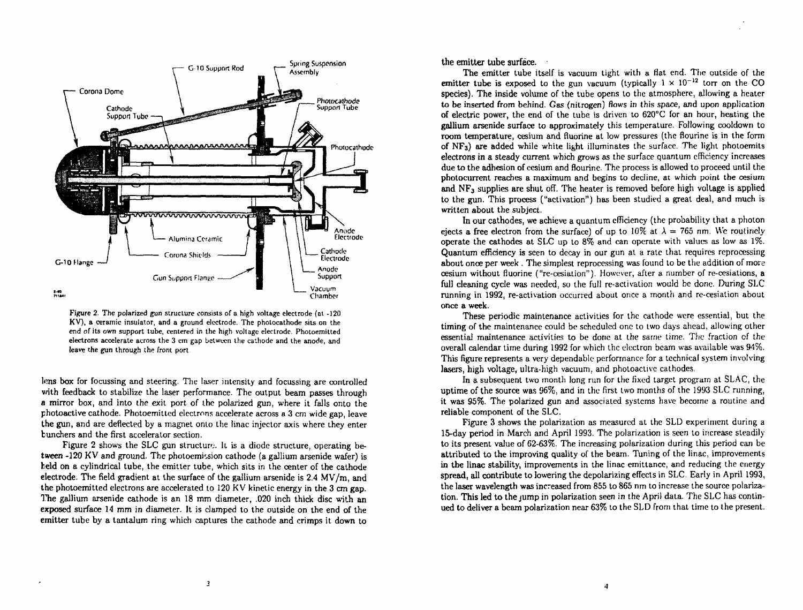

**Figure 2. The polarized gun structure consists of a high voltage electrode (at -120 KV), a ceramic insulator, and a ground electrode. The photocathode sits on the end ofits own support tube, centered in the high voltage electrode. Photoemitted electrons accelerate across the 3 cm gap between the cathode and the anode, and leave the gun through the front port** 

Ions box for focussing and steering. The laser intensity and focussing are controlled with feedback to stabilize the laser performance. The output beam passes through a mirror box, and into the exit port of the polarized gun, where it falls onto the photoactive cathode. Photoemitted electrons accelerate across a 3 cm wide gap, leave the gun, and are deflected by a magnet onto the linac injector axis where they enter tunchers and the first accelerator section.

Figure 2 shows the SLC gun structure. It is a diode structure, operating between  $-120$  KV and ground. The photoemission cathode (a gallium arsenide wafer) is beld on a cylindrical tube, the emitter tube, which sits in the center of the cathode electrode. The field gradient at the surface of the gallium arsenide is 2.4 MV/m, and the photoemitted electrons are accelerated to 120 KV kinetic energy in the 3 cm gap. *The* gallium arsenide cathode is an 18 mm diameter, .020 inch thick disc with an exposed surface 14 mm in diameter. It is clamped to the outside on the end of the emitter tube by a tantalum ring which captures the cathode and crimps it down to the emitter tube surface.

The emitter tube itself is vacuum tight with a fiat end. The outside of the emitter tube is exposed to the gun vacuum (typically  $1 \times 10^{-12}$  torr on the CO species). The inside volume of the tube opens to the atmosphere, allowing a heater to be inserted from behind. Gas (nitrogen) flows in this space, and upon application of electric power, the end of the tube is driven to  $620^{\circ}$ C for an hour, heating the gallium arsenide surface to approximately this temperature. Following cooldown to room temperature, cesium and fluorine at low pressures (the flourine is in the form of **NF3)** are added while white light illuminates the surface. The light photoemits electrons in a steady current which grows as the surface quantum efficiency increases due to the adhesion of cesium and flourine. The process is allowed to proceed until the photocurrent reaches a maximum and begins to decline, at which point the cesium and  $NF_3$  supplies are shut off. The heater is removed before high voltage is applied to the gun. This process ("activation") has been studied a great deal, and much is written about the subject.

In our cathodes, we achieve a quantum efficiency (the probability that a photon ejects a free electron from the surface) of up to 10% at  $\lambda = 765$  nm. We routinely operate the cathodes at SLC up to 8% and can operate with values as low as 1%. Quantum efficiency is seen to decay in our gun at a rate that requires reprocessing about once per week . The simplest reprocessing was found to be the addition of more cesium without fluorine ("re-cesiation"). However, after a number of re-cesiations, a full cleaning cycle was needed, so the full re-activation would be done. During SLC running in 1992, re-activation occurred about once a month and re-cesiation about once a week.

These periodic maintenance activities for the cathode were essential, but the timing of the maintenance could be scheduled one to two days ahead, allowing other essential maintenance activities to be done at the same time. The fraction cf the overall calendar time during 1992 for which the electron beam was available was 94%. This figure represents a very dependable performance for a technical system involving lasers, high voltage, ultra-high vacuum, and photoactive cathodes.

In a subsequent two month long run for the fixed target program at SLAC, the uptime of the source was 96%, and in the first two months of the 1993 SLC running, it was 95%. The polarized gun and associated systems have become a routine and reliable component of the SLC.

Figure 3 shows the polarization as measured at the SLD experiment during a 15-day period in March and April 1993. The polarization is seen to increase steadily to its present value of 62-63%. The increasing polarization during this period can be attributed to the improving quality of the beam. Tuning of the linac, improvements in the linac stability, improvements in the linac emittance, and reducing the energy spread, all contribute to lowering the depolarizing effects in SLC. Early in April 1993, the laser wavelength was increased from 855 to 865 nm to increase the source polarization. This led to the jump in polarization seen in the April data. The SLC has continued to deliver a beam polarization near 63% to the SLD from that time to the present.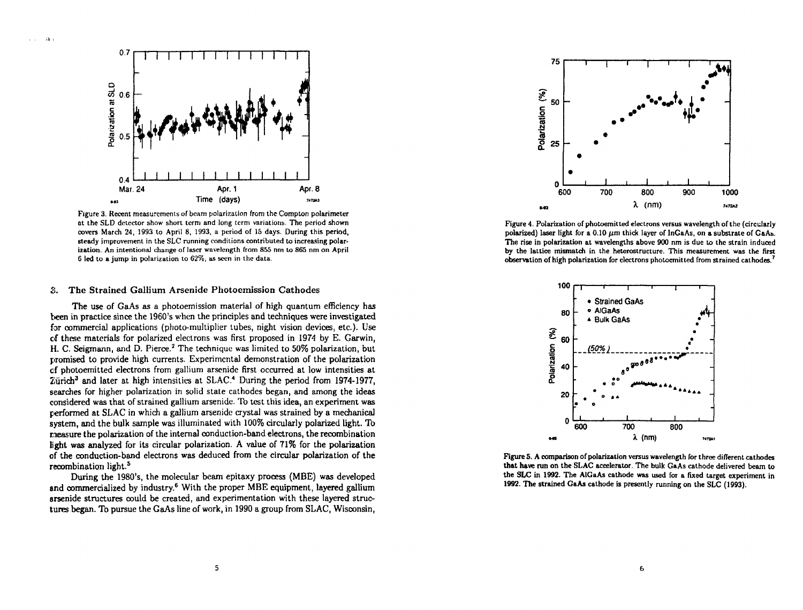

**Figure 3. Recent measurements of beam polarization from the Complon polarimeter at the SLD detector show short term and long term variations. The period shown covers March 24, 1993 to April 8, 1993, a period of 15 days. During this period, steady improvement in the SLC running conditions contributed to increasing polarization. An intentional change of laser wavelength from 855 nm to 8S5 nm on April 6 led to a jump in polarization to 62%, as seen in the data.** 

### 3. The Strained Gallium Arsenide Photoemission Cathodes

The use of GaAs as a photoemission material of high quantum efficiency has the en in practice since the 1960's when the principles and techniques were investigated for commercial applications (photo-multiplier tubes, night vision devices, etc.). Use of these materials for polarized electrons was first proposed in 1974 by E. Garwin, H. C. Seigmann, and D. Pierce.<sup>2</sup> The technique was limited to 50% polarization, but promised to provide high currents. Experimental demonstration of the polarization of photoernitted electrons from gallium arsenide first occurred at low intensities a t Zürich<sup>3</sup> and later at high intensities at SLAC.<sup>4</sup> During the period from 1974-1977, searches for higher polarization in solid state cathodes began, and among the ideas considered was that of strained gallium arsenide. To test this idea, an experiment was performed at SLAC in which a gallium arsenide crystal was strained by a mechanical system, and the bulk sample was illuminated with 100% circularly polarized light. To measure the polarization of the internal conduction-band electrons, the recombination light was analyzed for its circular polarization. A value of 71% for the polarization of the conduction-band electrons was deduced from the circular polarization of the recombination light.<sup>5</sup>

During the 1980's, the molecular beam epitaxy process (MBE) was developed and commercialized by industry.<sup>6</sup> With the proper MBE equipment, layered gallium arsenide structures could be created, and experimentation with these layered structures began. To pursue the GaAs line of work, in 1990 a group from SLAC, Wisconsin,



**Figure 4. Polarization of photoemitted electrons versus wavelength of the (circularly**  polarized) laser light for a 0.10  $\mu$ m thick layer of  $lnGaAs$ , on a substrate of  $GaAs$ . **The rise in polarization at wavelengths above 900 nm is due to the strain induced by the lattice mismatch in the heterostructure. This measurement was the first observation of high polarization for electrons pholoemitted from strained cathodes. <sup>7</sup>**



**Figure 5. A comparison of polarization versus wavelength for three different cathodes that have run on the SLAC accelerator. The bulk GaAs cathode delivered beam to the SLC in 1992. The AiGaAs cathode was used for a fixed target experiment in 1992. The strained GaAs cathode is presently running on the SLC (1993).**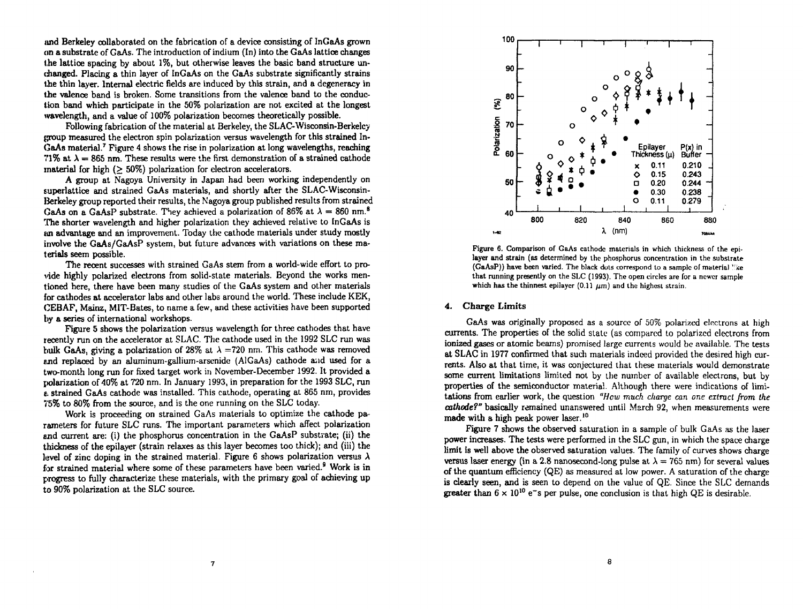imd Berkeley collaborated on the fabrication of a device consisting of InGaAs grown on a substrate of GaAs. The introduction of indium  $(In)$  into the GaAs lattice changes the lattice spacing by about 1%, but otherwise leaves the basic band structure unchanged. Placing a thin layer of InGaAs on the GaAs substrate significantly strains the thin layer. Internal electric fields are induced by this strain, and a degeneracy in the valence band is broken. Some transitions from the valence band to the conduction band which participate in the 50% polarization are not excited at the longest ivavelength, and a value of 100% polarization becomes theoretically possible.

Following fabrication of the material at Berkeley, the SLAC-Wisconsin-Berkeley (proup measured the electron spin polarization versus wavelength for this strained In-GaAs material.<sup>7</sup> Figure 4 shows the rise in polarization at long wavelengths, reaching 71% at  $\lambda = 865$  nm. These results were the first demonstration of a strained cathode material for high (> 50%) polarization for electron accelerators.

A group at Nagoya University in Japan had been working independently on superlattice and strained GaAs materials, and shortly after the SLAC-Wisconsin-Berkeley group reported their results, the Nagoya group published results from strained GaAs on a GaAsP substrate. They achieved a polarization of 86% at  $\lambda = 860$  nm.<sup>8</sup> The shorter wavelength and higher polarization they achieved relative to InGaAs is an advantage and an improvement. Today the cathode materials under study mostly involve the GaAs/GaAsP system, but future advances with variations on these materials seem possible.

The recent successes with strained GaAs stem from a world-wide effort to provide highly polarized electrons from solid-state materials. Beyond the works mentioned here, there have been many studies of the GaAs system and other materials for cathodes at accelerator labs and other labs around the world. These include KEK, CEBAF, Mainz, MIT-Bates, to name a few, and these activities have been supported by a series of international workshops.

Figure 5 shows the polarization versus wavelength for three cathodes that have recently run on the accelerator at SLAC. The cathode used in the 1992 SLC run was bulk GaAs, giving a polarization of 28% at  $\lambda$  =720 nm. This cathode was removed and replaced by an aluminum-gallium-arsenide (AiGaAs) cathode and used for a two-month long run for fixed target work in November-December 1992. It provided a polarization of 40% at 720 nm. In January 1993, in preparation for the 1993 SLC, run a strained GaAs cathode was installed. This cathode, operating at 865 nm, provides 75% to 80% from the source, and is the one running on the SLC today.

Work is proceeding on strained GaAs materials to optimize the cathode parameters for future SLC runs. The important parameters which affect polarization and current are: (i) the phosphorus concentration in the GaAsP substrate; (ii) the thickness of the epilayer (strain relaxes as this layer becomes too thick); and (iii) the level of zinc doping in the strained material. Figure 6 shows polarization versus  $\lambda$ for strained material where some of these parameters have been varied. Work is in progress to fully characterize these materials, with the primary goal of achieving up to 90% polarization at the SLC source.



**Figure 6. Comparison of GaAs cathode materials in which thickness of the epilayer and strain (as determined by the phosphorus concentration in the substrate (GaAsP)) have been varied. The black dots correspond to a sample of material ''ke that running presently on the SLC (1993). The open circles are for a newer sample**  which has the thinnest epilayer  $(0.11 \mu m)$  and the highest strain.

### 4. Charge Limits

GaAs was originally proposed as a source of 50% polarized electrons at high currents. The properties of the solid state (as compared to polarized electrons from ionized gases or atomic beams) promised large currents would be available. The tests at SLAC in 1977 confirmed that such materials indeed provided the desired high currents. Also at that time, it was conjectured that these materials would demonstrate some current limitations limited not by the number of available electrons, but by properties of the semiconductor material. Although there were indications of limitations from earlier work, the question *"Hew much charge can one extract from the cathode?"* basically remained unanswered until March 92, when measurements were made with a high peak power laser.<sup>10</sup>

Figure 7 shows the observed saturation in a sample of bulk GaAs as the laser power increases. The tests were performed in the SLC gun, in which the space charge limit is well above the observed saturation values. The family of curves shows charge versus laser energy (in a 2.8 nanosecond-long pulse at  $\lambda = 765$  nm) for several values of the quantum efficiency (QE) as measured at low power. A saturation of the charge is clearly seen, and is seen to depend on the value of QE. Since the SLC demands greater than  $6 \times 10^{10}$  e<sup>-</sup>s per pulse, one conclusion is that high QE is desirable.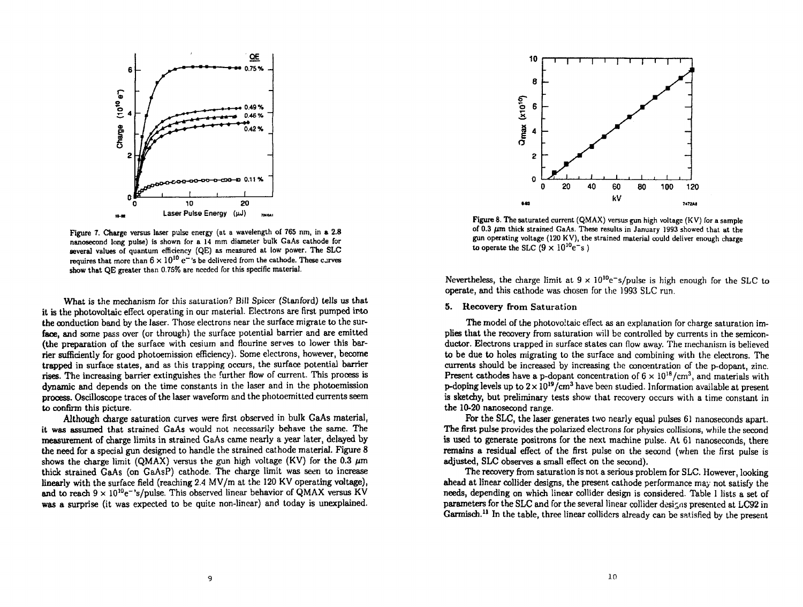

**Figure 7. Charge versus laser pulse energy (at a wavelength of 765 nm, in a 2.8 nanosecond long pulse) is shown for a 14 mm diameter bulk GaAs cathode for several values of quantum efficiency (QE) as measured at low power. The SLC**   $\bf{r}$ equires that more than  $6 \times 10^{10} \ \rm{e^-}$  's be delivered from the cathode. These curves **show that QE greater than 0.75% are needed for this specific material.** 

What is the mechanism for this saturation? Bill Spicer (Stanford) tells us that it is the photovoltaic effect operating in our material. Electrons are first pumped into the conduction band by the laser. Those electrons near the surface migrate to the surface, and some pass over (or through) the surface potential barrier and are emitted (the preparation of the surface with cesium and flourine serves to lower this barrier sufficiently for good photoemission efficiency). Some electrons, however, become trapped in surface states, and as this trapping occurs, the surface potential barrier rises. The increasing barrier extinguishes the further flow of current. This process is dynamic and depends on the time constants in the laser and in the photoemission process. Oscilloscope traces of the laser waveform and the photoemitted currents seem to confirm this picture.

Although charge saturation curves were first observed in bulk GaAs material, it was assumed that strained GaAs would not necessarily behave the same. The measurement of charge limits in strained GaAs came nearly a year later, delayed by the need for a special gun designed to handle the strained cathode material. Figure 8 shows the charge limit (QMAX) versus the gun high voltage (KV) for the 0.3  $\mu$ m thick strained GaAs (on GaAsP) cathode. The charge limit was seen to increase linearly with the surface field (reaching  $2.4 \text{ MV/m}$  at the 120 KV operating voltage), and to reach  $9 \times 10^{10}$ e<sup> $-$ </sup>'s/pulse. This observed linear behavior of QMAX versus KV was a surprise (it was expected to be quite non-linear) and today is unexplained.



**Figure 8. The saturated current (QMAX) versus gun high voltage (KV) for a sample** of 0.3  $\mu$ m thick strained GaAs. These results in January 1993 showed that at the **gun operating voltage (120 KV), the strained material could deliver enough charge**  to operate the SLC  $(9 \times 10^{10} e^{-s})$ 

Nevertheless, the charge limit at  $9 \times 10^{10}$  e<sup>-</sup>s/pulse is high enough for the SLC to operate, and this cathode was chosen for the 1993 SLC run.

# 5. Recovery from Saturation

The model of the photovoltaic effect as an explanation for charge saturation implies that the recovery from saturation will be controlled by currents in the semiconductor. Electrons trapped in surface states can flow away. The mechanism is believed to be due to holes migrating to the surface and combining with the electrons. The currents should be increased by increasing the concentration of the p-dopant, zinc. Present cathodes have a p-dopant concentration of  $6 \times 10^{18}$ /cm<sup>3</sup>, and materials with p-doping levels up to  $2 \times 10^{19}$ /cm<sup>3</sup> have been studied. Information available at present is sketchy, but preliminary tests show that recovery occurs with a time constant in the 10-20 nanosecond range.

For the SLC, the laser generates two nearly equal pulses 61 nanoseconds apart. The first pulse provides the polarized electrons for physics collisions, while the second is used to generate positrons for the next machine pulse. At 61 nanoseconds, there remains a residual effect of the first pulse on the second (when the first pulse is adjusted, SLC observes a small effect on the second).

The recovery from saturation is not a serious problem for SLC. However, looking ahead at linear collider designs, the present cathode performance may not satisfy the needs, depending on which linear collider design is considered. Table I lists a set of parameters for the SLC and for the several linear collider designs presented at LC92 in Garmisch.<sup>11</sup> In the table, three linear colliders already can be satisfied by the present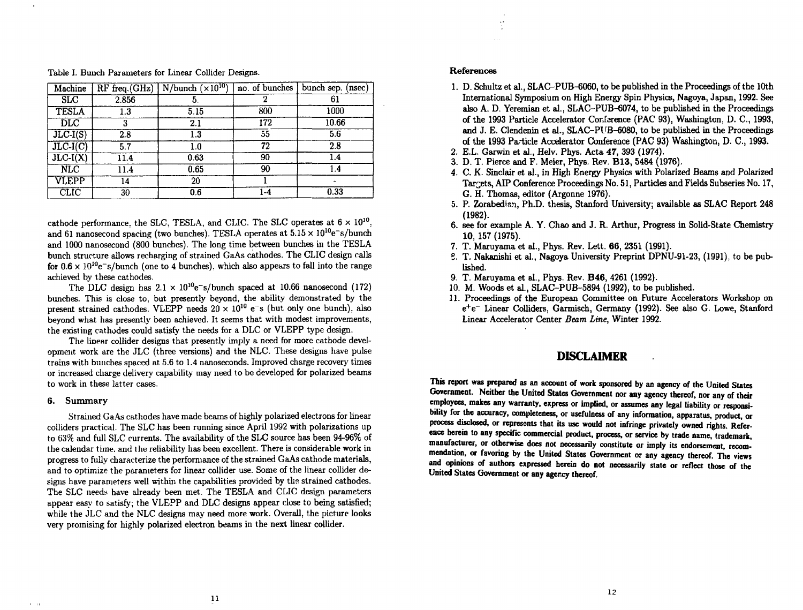| Machine                 |       | $RF$ freq.(GHz)   N/bunch ( $\times 10^{10}$ ) | no. of bunches | bunch sep.<br>(nsec) |
|-------------------------|-------|------------------------------------------------|----------------|----------------------|
| <b>SLC</b>              | 2.856 | 5.                                             |                | 61                   |
| <b>TESLA</b>            | 1.3   | 5.15                                           | 800            | 1000                 |
| <b>DLC</b>              | 3     | 2.1                                            | 172            | 10.66                |
| $JLC-I(S)$              | 2.8   | 1.3                                            | 55             | 5.6                  |
| $JLC-I(C)$              | 5.7   | 1.0                                            | 72             | 2.8                  |
| $JLC-I(X)$              | 11.4  | 0.63                                           | 90             | 1.4                  |
| $\overline{\text{NLC}}$ | 11.4  | 0.65                                           | 90             | 1.4                  |
| VLEPP                   | 14    | 20                                             |                |                      |
| CLIC                    | 30    | 0.6                                            | $1-4$          | 0.33                 |

Table I. Bunch Parameters for Linear Collider Designs.

cathode performance, the SLC, TESLA, and CLIC. The SLC operates at  $6 \times 10^{10}$ , and 61 nanosecond spacing (two bunches). TESLA operates at  $5.15 \times 10^{10}$ e<sup>-</sup>s/bunch and 1000 nanosecond (800 bunches). The long time between bunches in the TESLA bunch structure allows recharging of strained GaAs cathodes. The CLIC design calls for  $0.6 \times 10^{10}$  e~s/bunch (one to 4 bunches), which also appears to fall into the range achieved by these cathodes.

The DLC design has  $2.1 \times 10^{10}$ e<sup>-s</sup>/bunch spaced at 10.66 nanosecond (172) bunches. This is close to, but presently beyond, the ability demonstrated by the present strained cathodes. VLEPP needs  $20 \times 10^{10}$  e<sup>-</sup>s (but only one bunch), also beyond what has presently been achieved. It seems that with modest improvements, the existing cathodes could satisfy the needs for a DLC or VLEPP type design.

The linear collider designs that presently imply a need for more cathode development work are the JLC (three versions) and the NLC. These designs have pulse trains with bunches spaced at 5.6 to 1.4 nanoseconds. Improved charge recovery times or increased charge delivery capability may need to be developed for polarized beams to work in these latter cases.

### 6. Summary

 $\mathbf{r}=\mathbf{q}$ 

Strained GaAs cathodes have made beams of highly polarized electrons for linear colliders practical. The SLC has been running since April 1992 with polarizations up to 63% and full SLC currents. The availability of the SLC source has been 94-96% of the calendar time, and the reliability has been excellent. There is considerable work in progress to fully characterize the performance of the strained GaAs cathode materials, and to optimize the parameters for linear collider use. Some of the linear collider designs have parameters well within the capabilities provided by the strained cathodes. The SLC needs have already been met. The TESLA and CLIC design parameters appear easy to satisfy; the VLEPP and DLC designs appear close to being satisfied; while the JLC and the NLC designs may need more work. Overall, the picture looks very promising for highly polarized electron beams in the next linear collider.

## **References**

 $\frac{1}{2}$ 

- 1. D. Schultz et al., SLAC-PUB-6060, to be published in the Proceedings of the 10th International Symposium on High Energy Spin Physics, Nagoya, Japan, 1992. See also A. D. Yeremian et al., SLAC-PUB-6074, to be published in the Proceedings of the 1993 Particle Accelerator Conference (PAC 93), Washington, D. C , 1993, and J. E. Clendenin et al., SLAC-PUB-6080, to be published in the Proceedings of the 1993 Particle Accelerator Conference (PAC 93) Washington, D. C , 1993.
- 2. E.L. Garwin et al., Helv. Phys. Acta 47, 393 (1974).
- 3. D. T. Pierce and F. Meier, Phys. Rev. B13 , 5484 (1976).
- 4. C. K. Sinclair et al., in High Energy Physics with Polarized Beams and Polarized Targets, AIP Conference Proceedings No. 51, Particles and Fields Subseries No. 17, G. H. Thomas, editor (Argonne 1976).
- 5. P. Zorabedian, Ph.D. thesis, Stanford University; available as SLAC Report 248 (1982).
- 6. see for example A. Y. Chao and J. R. Arthur, Progress in Solid-State Chemistry 10, 157 (1975).
- 7. T. Maruyama et al., Phys. Rev. Lett. 66, 2351 (1991).
- 6. T. Nakanishi et al., Nagoya University Preprint DPNU-91-23, (1991), to be published.
- 9. T. Maruyama et al., Phys. Rev. B46 , 4261 (1992).
- 10. M. Woods et al., SLAC-PUB-5894 (1992), to be published.
- 11. Proceedings of the European Committee on Future Accelerators Workshop on e<sup>+</sup>e<sup>-</sup> Linear Colliders, Garmisch, Germany (1992). See also G. Lowe, Stanford Linear Accelerator Center *Beam Line,* Winter 1992.

# DISCLAIMER

This report was prepared as an account of work sponsored by an agency of the United States Government. Neither the United States Government nor any agency thereof, nor any of their employees, makes any warranty, express or implied, or assumes any legal liability or responsibility for the accuracy, completeness, or usefulness of any information, apparatus, product, or process disclosed, or represents that its use would not infringe privately owned rights. Reference herein to any specific commercial product, process, or service by trade name, trademark, manufacturer, or otherwise does not necessarily constitute or imply its endorsement, recommendation, or favoring by the United States Government or any agency thereof. The views and opinions of authors expressed herein do not necessarily state or reflect those of the United States Government or any agency thereof.